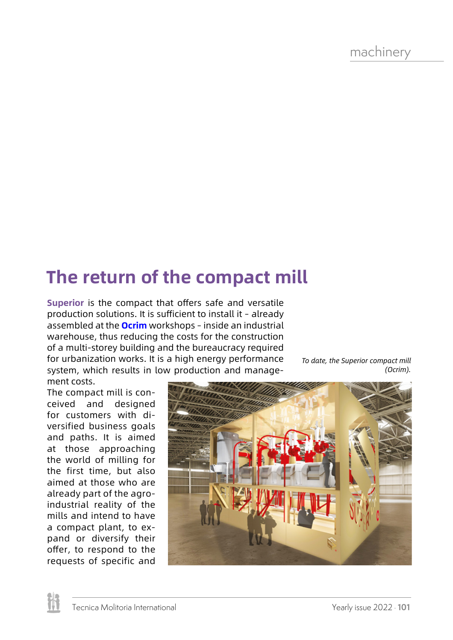machinery

## **The return of the compact mill**

**Superior** is the compact that offers safe and versatile production solutions. It is sufficient to install it - already assembled at the **Ocrim** workshops – inside an industrial warehouse, thus reducing the costs for the construction of a multi-storey building and the bureaucracy required for urbanization works. It is a high energy performance system, which results in low production and management costs.

*To date, the Superior compact mill (Ocrim).*

The compact mill is conceived and designed for customers with diversified business goals and paths. It is aimed at those approaching the world of milling for the first time, but also aimed at those who are already part of the agroindustrial reality of the mills and intend to have a compact plant, to expand or diversify their offer, to respond to the requests of specific and